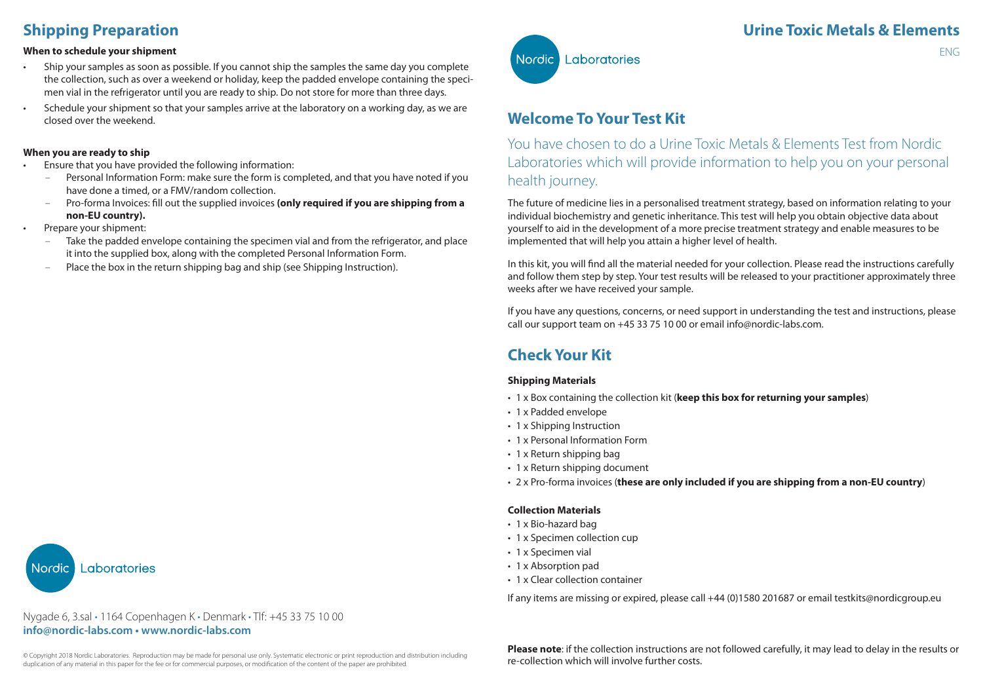# **Shipping Preparation**

#### **When to schedule your shipment**

- Ship your samples as soon as possible. If you cannot ship the samples the same day you complete the collection, such as over a weekend or holiday, keep the padded envelope containing the specimen vial in the refrigerator until you are ready to ship. Do not store for more than three days.
- Schedule your shipment so that your samples arrive at the laboratory on a working day, as we are closed over the weekend.

#### **When you are ready to ship**

- Ensure that you have provided the following information:
	- Personal Information Form: make sure the form is completed, and that you have noted if you have done a timed, or a FMV/random collection.
	- Pro-forma Invoices: fill out the supplied invoices **(only required if you are shipping from a non-EU country).**
- Prepare your shipment:
	- Take the padded envelope containing the specimen vial and from the refrigerator, and place it into the supplied box, along with the completed Personal Information Form.
	- Place the box in the return shipping bag and ship (see Shipping Instruction).

Laboratories Nordic

#### Nygade 6, 3.sal • 1164 Copenhagen K • Denmark • Tlf: +45 33 75 10 00 **info@nordic-labs.com • www.nordic-labs.com**



## **Welcome To Your Test Kit**

You have chosen to do a Urine Toxic Metals & Elements Test from Nordic Laboratories which will provide information to help you on your personal health journey.

The future of medicine lies in a personalised treatment strategy, based on information relating to your individual biochemistry and genetic inheritance. This test will help you obtain objective data about yourself to aid in the development of a more precise treatment strategy and enable measures to be implemented that will help you attain a higher level of health.

In this kit, you will find all the material needed for your collection. Please read the instructions carefully and follow them step by step. Your test results will be released to your practitioner approximately three weeks after we have received your sample.

If you have any questions, concerns, or need support in understanding the test and instructions, please call our support team on +45 33 75 10 00 or email info@nordic-labs.com.

# **Check Your Kit**

#### **Shipping Materials**

- 1 x Box containing the collection kit (**keep this box for returning your samples**)
- 1 x Padded envelope
- 1 x Shipping Instruction
- 1 x Personal Information Form
- 1 x Return shipping bag
- 1 x Return shipping document
- 2 x Pro-forma invoices (**these are only included if you are shipping from a non-EU country**)

#### **Collection Materials**

- 1 x Bio-hazard bag
- 1 x Specimen collection cup
- 1 x Specimen vial
- 1 x Absorption pad
- 1 x Clear collection container

If any items are missing or expired, please call +44 (0)1580 201687 or email testkits@nordicgroup.eu

**Please note**: if the collection instructions are not followed carefully, it may lead to delay in the results or re-collection which will involve further costs.

ENG